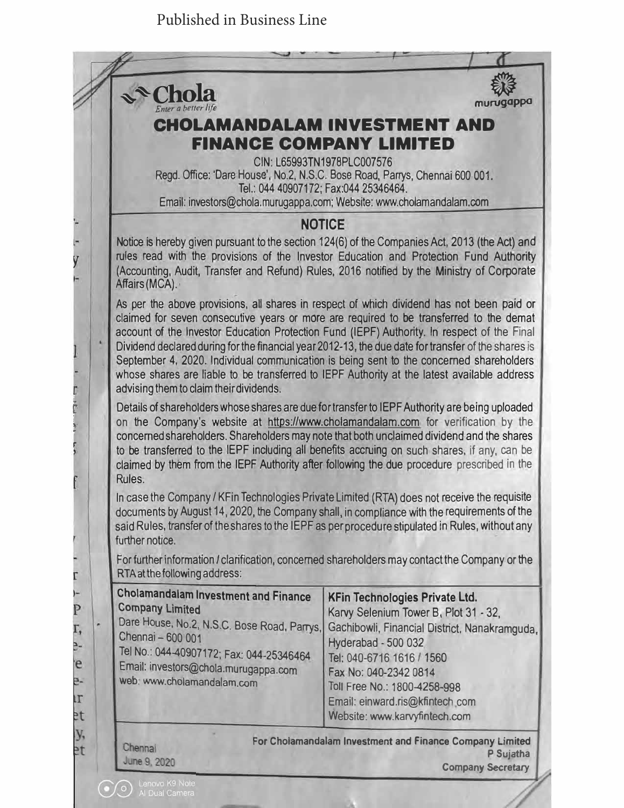